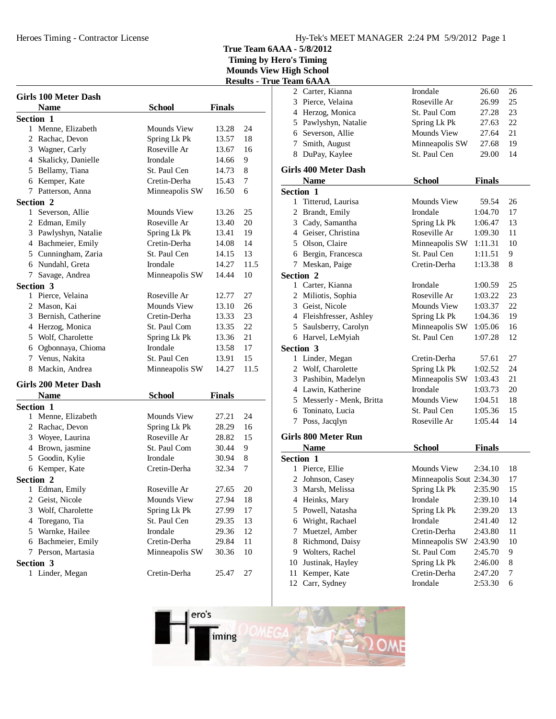Heroes Timing - Contractor License

**True Team 6AAA - 5/8/2012**

|   |                             |                    |               | лсэшіэ - |
|---|-----------------------------|--------------------|---------------|----------|
|   | <b>Girls 100 Meter Dash</b> |                    |               |          |
|   | <b>Name</b>                 | <b>School</b>      | <b>Finals</b> |          |
|   | Section 1                   |                    |               |          |
|   | 1 Menne, Elizabeth          | Mounds View        | 13.28         | 24       |
|   | 2 Rachac, Devon             | Spring Lk Pk       | 13.57         | 18       |
|   | 3 Wagner, Carly             | Roseville Ar       | 13.67         | 16       |
|   | 4 Skalicky, Danielle        | Irondale           | 14.66         | 9        |
|   | 5 Bellamy, Tiana            | St. Paul Cen       | 14.73         | 8        |
|   | 6 Kemper, Kate              | Cretin-Derha       | 15.43         | 7        |
|   | 7 Patterson, Anna           | Minneapolis SW     | 16.50         | 6        |
|   | Section 2                   |                    |               |          |
|   | 1 Severson, Allie           | <b>Mounds View</b> | 13.26         | 25       |
|   | 2 Edman, Emily              | Roseville Ar       | 13.40         | 20       |
|   | 3 Pawlyshyn, Natalie        | Spring Lk Pk       | 13.41         | 19       |
|   | 4 Bachmeier, Emily          | Cretin-Derha       | 14.08         | 14       |
|   | 5 Cunningham, Zaria         | St. Paul Cen       | 14.15         | 13       |
|   | 6 Nundahl, Greta            | Irondale           | 14.27         | 11.5     |
|   | 7 Savage, Andrea            | Minneapolis SW     | 14.44         | 10       |
|   | Section 3                   |                    |               |          |
|   | 1 Pierce, Velaina           | Roseville Ar       | 12.77         | 27       |
|   | 2 Mason, Kai                | <b>Mounds View</b> | 13.10         | 26       |
|   | 3 Bernish, Catherine        | Cretin-Derha       | 13.33         | 23       |
|   | 4 Herzog, Monica            | St. Paul Com       | 13.35         | 22       |
|   | 5 Wolf, Charolette          | Spring Lk Pk       | 13.36         | 21       |
|   | 6 Ogbonnaya, Chioma         | Irondale           | 13.58         | 17       |
|   | 7 Venus, Nakita             | St. Paul Cen       | 13.91         | 15       |
|   | 8 Mackin, Andrea            | Minneapolis SW     | 14.27         | 11.5     |
|   |                             |                    |               |          |
|   | <b>Girls 200 Meter Dash</b> |                    |               |          |
|   | <b>Name</b>                 | <b>School</b>      | <b>Finals</b> |          |
|   | <b>Section 1</b>            |                    |               |          |
|   | 1 Menne, Elizabeth          | Mounds View        | 27.21         | 24       |
|   | 2 Rachac, Devon             | Spring Lk Pk       | 28.29         | 16       |
|   | 3 Woyee, Laurina            | Roseville Ar       | 28.82         | 15       |
|   | 4 Brown, jasmine            | St. Paul Com       | 30.44         | 9        |
|   | 5 Goodin, Kylie             | Irondale           | 30.94         | 8        |
|   | 6 Kemper, Kate              | Cretin-Derha       | 32.34         | 7        |
|   | Section 2                   |                    |               |          |
|   | 1 Edman, Emily              | Roseville Ar       | 27.65         | 20       |
|   | 2 Geist, Nicole             | Mounds View        | 27.94         | 18       |
| 3 | Wolf, Charolette            | Spring Lk Pk       | 27.99         | 17       |
| 4 | Toregano, Tia               | St. Paul Cen       | 29.35         | 13       |
|   | 5 Warnke, Hailee            | Irondale           | 29.36         | 12       |
|   | 6 Bachmeier, Emily          | Cretin-Derha       | 29.84         | 11       |
|   | 7 Person, Martasia          | Minneapolis SW     | 30.36         | 10       |
|   | Section 3                   |                    |               |          |
|   | 1 Linder, Megan             | Cretin-Derha       | 25.47         | 27       |

|     | <b>Results - True Team 6AAA</b> |    |                             |                          |               |    |  |
|-----|---------------------------------|----|-----------------------------|--------------------------|---------------|----|--|
|     |                                 |    | 2 Carter, Kianna            | Irondale                 | 26.60         | 26 |  |
|     |                                 |    | 3 Pierce, Velaina           | Roseville Ar             | 26.99         | 25 |  |
| als |                                 |    | 4 Herzog, Monica            | St. Paul Com             | 27.28         | 23 |  |
|     |                                 |    | 5 Pawlyshyn, Natalie        | Spring Lk Pk             | 27.63         | 22 |  |
| 28  | 24                              |    | 6 Severson, Allie           | Mounds View              | 27.64         | 21 |  |
| 57  | 18                              | 7  | Smith, August               | Minneapolis SW           | 27.68         | 19 |  |
| 67  | 16                              |    | 8 DuPay, Kaylee             | St. Paul Cen             | 29.00         | 14 |  |
| 66  | 9                               |    |                             |                          |               |    |  |
| 73  | 8                               |    | <b>Girls 400 Meter Dash</b> |                          |               |    |  |
| 43  | 7                               |    | <b>Name</b>                 | <b>School</b>            | <b>Finals</b> |    |  |
| 50  | 6                               |    | Section 1                   |                          |               |    |  |
|     |                                 |    | 1 Titterud, Laurisa         | Mounds View              | 59.54         | 26 |  |
| 26  | 25                              |    | 2 Brandt, Emily             | Irondale                 | 1:04.70       | 17 |  |
| 40  | 20                              |    | 3 Cady, Samantha            | Spring Lk Pk             | 1:06.47       | 13 |  |
| 41  | 19                              |    | 4 Geiser, Christina         | Roseville Ar             | 1:09.30       | 11 |  |
| 08  | 14                              |    | 5 Olson, Claire             | Minneapolis SW           | 1:11.31       | 10 |  |
| 15  | 13                              |    | 6 Bergin, Francesca         | St. Paul Cen             | 1:11.51       | 9  |  |
| 27  | 11.5                            | 7  | Meskan, Paige               | Cretin-Derha             | 1:13.38       | 8  |  |
| 44  | 10                              |    | Section 2                   |                          |               |    |  |
|     |                                 |    | 1 Carter, Kianna            | Irondale                 | 1:00.59       | 25 |  |
| 77  | 27                              |    | 2 Miliotis, Sophia          | Roseville Ar             | 1:03.22       | 23 |  |
| 10  | 26                              |    | 3 Geist, Nicole             | Mounds View              | 1:03.37       | 22 |  |
| 33  | 23                              |    | 4 Fleishfresser, Ashley     | Spring Lk Pk             | 1:04.36       | 19 |  |
| 35  | 22                              |    | 5 Saulsberry, Carolyn       | Minneapolis SW           | 1:05.06       | 16 |  |
| 36  | 21                              |    | 6 Harvel, LeMyiah           | St. Paul Cen             | 1:07.28       | 12 |  |
| 58  | 17                              |    | Section 3                   |                          |               |    |  |
| 91  | 15                              |    | 1 Linder, Megan             | Cretin-Derha             | 57.61         | 27 |  |
| 27  | 11.5                            |    | 2 Wolf, Charolette          | Spring Lk Pk             | 1:02.52       | 24 |  |
|     |                                 |    | 3 Pashibin, Madelyn         | Minneapolis SW           | 1:03.43       | 21 |  |
| als |                                 |    | 4 Lawin, Katherine          | Irondale                 | 1:03.73       | 20 |  |
|     |                                 |    | 5 Messerly - Menk, Britta   | Mounds View              | 1:04.51       | 18 |  |
| 21  | 24                              |    | 6 Toninato, Lucia           | St. Paul Cen             | 1:05.36       | 15 |  |
| 29  | 16                              | 7  | Poss, Jacqlyn               | Roseville Ar             | 1:05.44       | 14 |  |
| 82  | 15                              |    | <b>Girls 800 Meter Run</b>  |                          |               |    |  |
| 44  | 9                               |    | <b>Name</b>                 | <b>School</b>            | <b>Finals</b> |    |  |
| 94  | 8                               |    | Section 1                   |                          |               |    |  |
| 34  | 7                               |    | 1 Pierce, Ellie             | Mounds View              | 2:34.10       | 18 |  |
|     |                                 |    | 2 Johnson, Casey            | Minneapolis Sout 2:34.30 |               | 17 |  |
| 65  | 20                              | 3  | Marsh, Melissa              | Spring Lk Pk             | 2:35.90       | 15 |  |
| 94  | 18                              | 4  | Heinks, Mary                | Irondale                 | 2:39.10       | 14 |  |
| 99  | 17                              | 5  | Powell, Natasha             | Spring Lk Pk             | 2:39.20       | 13 |  |
| 35  | 13                              | 6  | Wright, Rachael             | Irondale                 | 2:41.40       | 12 |  |
| 36  | 12                              | 7  | Muetzel, Amber              | Cretin-Derha             | 2:43.80       | 11 |  |
| 84  | 11                              | 8  | Richmond, Daisy             | Minneapolis SW           | 2:43.90       | 10 |  |
| 36  | 10                              |    | 9 Wolters, Rachel           | St. Paul Com             | 2:45.70       | 9  |  |
|     |                                 | 10 | Justinak, Hayley            | Spring Lk Pk             | 2:46.00       | 8  |  |
| 47  | 27                              | 11 | Kemper, Kate                | Cretin-Derha             | 2:47.20       | 7  |  |
|     |                                 | 12 | Carr, Sydney                | Irondale                 | 2:53.30       | 6  |  |
|     |                                 |    |                             |                          |               |    |  |

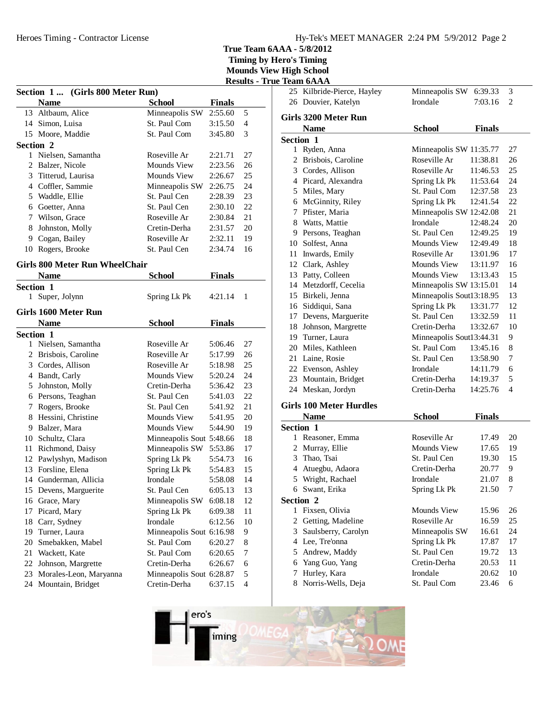**Timing by Hero's Timing Mounds View High School**

|                                 | -- |  |
|---------------------------------|----|--|
| <b>Results - True Team 6AAA</b> |    |  |
|                                 |    |  |

|              |                                            |                          |               | Results -      |
|--------------|--------------------------------------------|--------------------------|---------------|----------------|
|              | (Girls 800 Meter Run)<br><b>Section 1 </b> |                          |               |                |
|              | <b>Name</b>                                | <b>School</b>            | <b>Finals</b> |                |
| 13           | Altbaum, Alice                             | Minneapolis SW           | 2:55.60       | 5              |
|              | 14 Simon, Luisa                            | St. Paul Com             | 3:15.50       | $\overline{4}$ |
|              | 15 Moore, Maddie                           | St. Paul Com             | 3:45.80       | 3              |
|              | Section 2                                  |                          |               |                |
| $\mathbf{1}$ | Nielsen, Samantha                          | Roseville Ar             | 2:21.71       | 27             |
|              | 2 Balzer, Nicole                           | <b>Mounds View</b>       | 2:23.56       | 26             |
| 3            | Titterud, Laurisa                          | <b>Mounds View</b>       | 2:26.67       | 25             |
|              | 4 Coffler, Sammie                          | Minneapolis SW           | 2:26.75       | 24             |
|              | 5 Waddle, Ellie                            | St. Paul Cen             | 2:28.39       | 23             |
|              | 6 Goetter, Anna                            | St. Paul Cen             | 2:30.10       | 22             |
|              | 7 Wilson, Grace                            | Roseville Ar             | 2:30.84       | 21             |
| 8            | Johnston, Molly                            | Cretin-Derha             | 2:31.57       | 20             |
| 9            | Cogan, Bailey                              | Roseville Ar             | 2:32.11       | 19             |
|              | 10 Rogers, Brooke                          | St. Paul Cen             | 2:34.74       | 16             |
|              |                                            |                          |               |                |
|              | <b>Girls 800 Meter Run WheelChair</b>      |                          |               |                |
|              | <b>Name</b>                                | <b>School</b>            | <b>Finals</b> |                |
|              | <b>Section 1</b>                           |                          |               |                |
| 1            | Super, Jolynn                              | Spring Lk Pk             | 4:21.14       | 1              |
|              | Girls 1600 Meter Run                       |                          |               |                |
|              | <b>Name</b>                                | <b>School</b>            | <b>Finals</b> |                |
|              | Section 1                                  |                          |               |                |
| 1            | Nielsen, Samantha                          | Roseville Ar             | 5:06.46       | 27             |
|              | 2 Brisbois, Caroline                       | Roseville Ar             | 5:17.99       | 26             |
|              | 3 Cordes, Allison                          | Roseville Ar             | 5:18.98       | 25             |
|              | 4 Bandt, Carly                             | Mounds View              | 5:20.24       | 24             |
| 5            | Johnston, Molly                            | Cretin-Derha             | 5:36.42       | 23             |
|              | 6 Persons, Teaghan                         | St. Paul Cen             | 5:41.03       | 22             |
| 7            | Rogers, Brooke                             | St. Paul Cen             | 5:41.92       | 21             |
| 8            | Hessini, Christine                         | Mounds View              | 5:41.95       | 20             |
| 9            | Balzer, Mara                               | <b>Mounds View</b>       | 5:44.90       | 19             |
|              | 10 Schultz, Clara                          | Minneapolis Sout 5:48.66 |               | 18             |
| 11           | Richmond, Daisy                            | Minneapolis SW           | 5:53.86       | 17             |
| 12           | Pawlyshyn, Madison                         | Spring Lk Pk             | 5:54.73       | 16             |
| 13           | Forsline, Elena                            | Spring Lk Pk             | 5:54.83       | 15             |
|              | 14 Gunderman, Allicia                      | Irondale                 | 5:58.08       | 14             |
|              | 15 Devens, Marguerite                      | St. Paul Cen             | 6:05.13       | 13             |
|              |                                            |                          |               |                |
| 16           | Grace, Mary                                | Minneapolis SW           | 6:08.18       | 12             |
| 17           | Picard, Mary                               | Spring Lk Pk             | 6:09.38       | 11             |
| 18           | Carr, Sydney                               | Irondale                 | 6:12.56       | 10             |
| 19           | Turner, Laura                              | Minneapolis Sout 6:16.98 |               | 9              |
| 20           | Smebakken, Mabel                           | St. Paul Com             | 6:20.27       | 8              |
| 21           | Wackett, Kate                              | St. Paul Com             | 6:20.65       | 7              |
| 22           | Johnson, Margrette                         | Cretin-Derha             | 6:26.67       | 6              |
| 23           | Morales-Leon, Maryanna                     | Minneapolis Sout 6:28.87 |               | 5              |
| 24           | Mountain, Bridget                          | Cretin-Derha             | 6:37.15       | $\overline{4}$ |

|                       | 25 Kilbride-Pierce, Hayley            | Minneapolis SW           | 6:39.33       | 3  |
|-----------------------|---------------------------------------|--------------------------|---------------|----|
|                       | 26 Douvier, Katelyn                   | Irondale                 | 7:03.16       | 2  |
|                       | Girls 3200 Meter Run                  |                          |               |    |
|                       |                                       |                          |               |    |
|                       | <b>Name</b>                           | <b>School</b>            | <b>Finals</b> |    |
| <b>Section 1</b><br>1 | Ryden, Anna                           | Minneapolis SW 11:35.77  |               | 27 |
|                       | 2 Brisbois, Caroline                  | Roseville Ar             | 11:38.81      | 26 |
|                       | 3 Cordes, Allison                     | Roseville Ar             | 11:46.53      | 25 |
|                       | 4 Picard, Alexandra                   | Spring Lk Pk             | 11:53.64      | 24 |
|                       | 5 Miles, Mary                         | St. Paul Com             | 12:37.58      | 23 |
|                       | 6 McGinnity, Riley                    | Spring Lk Pk             | 12:41.54      | 22 |
|                       | 7 Pfister, Maria                      | Minneapolis SW 12:42.08  |               | 21 |
|                       | 8 Watts, Mattie                       | Irondale                 | 12:48.24      | 20 |
|                       | 9 Persons, Teaghan                    | St. Paul Cen             | 12:49.25      | 19 |
|                       | 10 Solfest, Anna                      | Mounds View              | 12:49.49      | 18 |
|                       | 11 Inwards, Emily                     | Roseville Ar             | 13:01.96      | 17 |
|                       |                                       | Mounds View              | 13:11.97      | 16 |
|                       | 12 Clark, Ashley<br>13 Patty, Colleen | Mounds View              | 13:13.43      | 15 |
|                       | 14 Metzdorff, Cecelia                 | Minneapolis SW 13:15.01  |               | 14 |
|                       | 15 Birkeli, Jenna                     | Minneapolis Sout13:18.95 |               | 13 |
|                       | 16 Siddiqui, Sana                     | Spring Lk Pk             | 13:31.77      | 12 |
|                       | 17 Devens, Marguerite                 | St. Paul Cen             | 13:32.59      | 11 |
|                       | 18 Johnson, Margrette                 | Cretin-Derha             | 13:32.67      | 10 |
|                       | 19 Turner, Laura                      | Minneapolis Sout13:44.31 |               | 9  |
|                       | 20 Miles, Kathleen                    | St. Paul Com             | 13:45.16      | 8  |
|                       | 21 Laine, Rosie                       | St. Paul Cen             | 13:58.90      | 7  |
|                       | 22 Evenson, Ashley                    | Irondale                 | 14:11.79      | 6  |
|                       | 23 Mountain, Bridget                  | Cretin-Derha             | 14:19.37      | 5  |
|                       | 24 Meskan, Jordyn                     | Cretin-Derha             | 14:25.76      | 4  |
|                       |                                       |                          |               |    |
|                       | <b>Girls 100 Meter Hurdles</b>        |                          |               |    |
|                       | <b>Name</b>                           | <b>School</b>            | <b>Finals</b> |    |
|                       | <b>Section 1</b>                      |                          |               |    |
| 1                     | Reasoner, Emma                        | Roseville Ar             | 17.49         | 20 |
|                       | 2 Murray, Ellie                       | <b>Mounds View</b>       | 17.65         | 19 |
|                       | 3 Thao, Tsai                          | St. Paul Cen             | 19.30         | 15 |
|                       | 4 Atuegbu, Adaora                     | Cretin-Derha             | 20.77         | 9  |
|                       | 5 Wright, Rachael                     | Irondale                 | 21.07         | 8  |
|                       | 6 Swant, Erika                        | Spring Lk Pk             | 21.50         | 7  |
|                       | Section 2                             |                          |               |    |
| 1                     | Fixsen, Olivia                        | Mounds View              | 15.96         | 26 |
| 2                     | Getting, Madeline                     | Roseville Ar             | 16.59         | 25 |
| 3                     | Saulsberry, Carolyn                   | Minneapolis SW           | 16.61         | 24 |
|                       | 4 Lee, Tre'onna                       | Spring Lk Pk             | 17.87         | 17 |
|                       | 5 Andrew, Maddy                       | St. Paul Cen             | 19.72         | 13 |
| 6                     | Yang Guo, Yang                        | Cretin-Derha             | 20.53         | 11 |

7 Hurley, Kara<br>Irondale 20.62 10 8 Norris-Wells, Deja<br>8 St. Paul Com 23.46 6

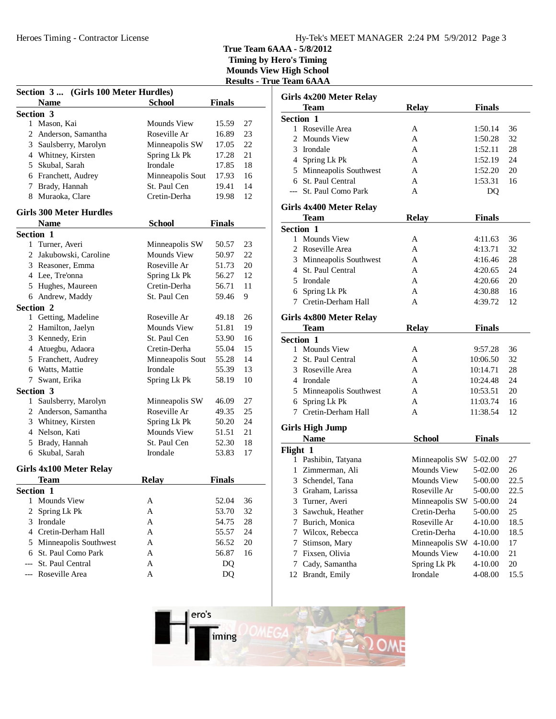## Hy-Tek's MEET MANAGER 2:24 PM 5/9/2012 Page 3

**True Team 6AAA - 5/8/2012**

**Timing by Hero's Timing Mounds View High School Results - True Team 6AAA**

|   | Section 3<br>(Girls 100 Meter Hurdles) |                    |               |    |
|---|----------------------------------------|--------------------|---------------|----|
|   | <b>Name</b>                            | <b>School</b>      | <b>Finals</b> |    |
|   | Section 3                              |                    |               |    |
|   | 1 Mason, Kai                           | Mounds View        | 15.59         | 27 |
|   | 2 Anderson, Samantha                   | Roseville Ar       | 16.89         | 23 |
|   | 3 Saulsberry, Marolyn                  | Minneapolis SW     | 17.05         | 22 |
|   | 4 Whitney, Kirsten                     | Spring Lk Pk       | 17.28         | 21 |
|   | 5 Skubal, Sarah                        | Irondale           | 17.85         | 18 |
|   | 6 Franchett, Audrey                    | Minneapolis Sout   | 17.93         | 16 |
|   | 7 Brady, Hannah                        | St. Paul Cen       | 19.41         | 14 |
| 8 | Muraoka, Clare                         | Cretin-Derha       | 19.98         | 12 |
|   | <b>Girls 300 Meter Hurdles</b>         |                    |               |    |
|   | <b>Name</b>                            | <b>School</b>      | <b>Finals</b> |    |
|   | Section 1                              |                    |               |    |
|   | 1 Turner, Averi                        | Minneapolis SW     | 50.57         | 23 |
|   | 2 Jakubowski, Caroline                 | <b>Mounds View</b> | 50.97         | 22 |
|   | 3 Reasoner, Emma                       | Roseville Ar       | 51.73         | 20 |
|   | 4 Lee, Tre'onna                        | Spring Lk Pk       | 56.27         | 12 |
|   | 5 Hughes, Maureen                      | Cretin-Derha       | 56.71         | 11 |
|   | 6 Andrew, Maddy                        | St. Paul Cen       | 59.46         | 9  |
|   | Section 2                              |                    |               |    |
|   | 1 Getting, Madeline                    | Roseville Ar       | 49.18         | 26 |
|   | 2 Hamilton, Jaelyn                     | Mounds View        | 51.81         | 19 |
|   | 3 Kennedy, Erin                        | St. Paul Cen       | 53.90         | 16 |
|   | 4 Atuegbu, Adaora                      | Cretin-Derha       | 55.04         | 15 |
|   | 5 Franchett, Audrey                    | Minneapolis Sout   | 55.28         | 14 |
|   | 6 Watts, Mattie                        | Irondale           | 55.39         | 13 |
|   | 7 Swant, Erika                         | Spring Lk Pk       | 58.19         | 10 |
|   | Section 3                              |                    |               |    |
|   | 1 Saulsberry, Marolyn                  | Minneapolis SW     | 46.09         | 27 |
|   | 2 Anderson, Samantha                   | Roseville Ar       | 49.35         | 25 |
|   | 3 Whitney, Kirsten                     | Spring Lk Pk       | 50.20         | 24 |
|   | 4 Nelson, Kati                         | <b>Mounds View</b> | 51.51         | 21 |
|   | 5 Brady, Hannah                        | St. Paul Cen       | 52.30         | 18 |
|   | 6 Skubal, Sarah                        | Irondale           | 53.83         | 17 |
|   | <b>Girls 4x100 Meter Relay</b>         |                    |               |    |
|   | Team                                   | <b>Relay</b>       | <b>Finals</b> |    |
|   | Section 1                              |                    |               |    |
| 1 | <b>Mounds View</b>                     | Α                  | 52.04         | 36 |
| 2 | Spring Lk Pk                           | A                  | 53.70         | 32 |
| 3 | Irondale                               | A                  | 54.75         | 28 |
|   | 4 Cretin-Derham Hall                   | A                  | 55.57         | 24 |
| 5 | Minneapolis Southwest                  | Α                  | 56.52         | 20 |
| 6 | St. Paul Como Park                     | А                  | 56.87         | 16 |
|   | St. Paul Central                       | А                  | DQ            |    |
|   | Roseville Area                         | A                  | DQ            |    |

|          | Girls 4x200 Meter Relay |                        |               |      |  |  |
|----------|-------------------------|------------------------|---------------|------|--|--|
|          | <b>Team</b>             | <b>Relay</b>           | <b>Finals</b> |      |  |  |
|          | <b>Section 1</b>        |                        |               |      |  |  |
|          | 1 Roseville Area        | A                      | 1:50.14       | 36   |  |  |
|          | 2 Mounds View           | A                      | 1:50.28       | 32   |  |  |
|          | 3 Irondale              | A                      | 1:52.11       | 28   |  |  |
|          | 4 Spring Lk Pk          | A                      | 1:52.19       | 24   |  |  |
|          | 5 Minneapolis Southwest | A                      | 1:52.20       | 20   |  |  |
|          | 6 St. Paul Central      | A                      | 1:53.31       | 16   |  |  |
|          | --- St. Paul Como Park  | A                      | DQ            |      |  |  |
|          | Girls 4x400 Meter Relay |                        |               |      |  |  |
|          | <b>Team</b>             | <b>Relay</b>           | <b>Finals</b> |      |  |  |
|          | <b>Section 1</b>        |                        |               |      |  |  |
|          | 1 Mounds View           | A                      | 4:11.63       | 36   |  |  |
|          | 2 Roseville Area        | A                      | 4:13.71       | 32   |  |  |
|          | 3 Minneapolis Southwest | A                      | 4:16.46       | 28   |  |  |
|          | 4 St. Paul Central      | A                      | 4:20.65       | 24   |  |  |
|          | 5 Irondale              | A                      | 4:20.66       | 20   |  |  |
|          | 6 Spring Lk Pk          | A                      | 4:30.88       | 16   |  |  |
|          | 7 Cretin-Derham Hall    | A                      | 4:39.72       | 12   |  |  |
|          | Girls 4x800 Meter Relay |                        |               |      |  |  |
|          | Team                    | <b>Relay</b>           | <b>Finals</b> |      |  |  |
|          | <b>Section 1</b>        |                        |               |      |  |  |
| 1        | <b>Mounds View</b>      | A                      | 9:57.28       | 36   |  |  |
|          | 2 St. Paul Central      | A                      | 10:06.50      | 32   |  |  |
|          | 3 Roseville Area        | A                      | 10:14.71      | 28   |  |  |
|          | 4 Irondale              | A                      | 10:24.48      | 24   |  |  |
|          | 5 Minneapolis Southwest | A                      | 10:53.51      | 20   |  |  |
|          | 6 Spring Lk Pk          | A                      | 11:03.74      | 16   |  |  |
|          | 7 Cretin-Derham Hall    | A                      | 11:38.54      | 12   |  |  |
|          |                         |                        |               |      |  |  |
|          | <b>Girls High Jump</b>  |                        |               |      |  |  |
|          | <b>Name</b>             | <b>School</b>          | <b>Finals</b> |      |  |  |
| Flight 1 |                         |                        |               |      |  |  |
|          | 1 Pashibin, Tatyana     | Minneapolis SW 5-02.00 |               | 27   |  |  |
|          | 1 Zimmerman, Ali        | Mounds View            | 5-02.00       | 26   |  |  |
|          | 3 Schendel, Tana        | Mounds View            | 5-00.00       | 22.5 |  |  |
| 3        | Graham, Larissa         | Roseville Ar           | 5-00.00       | 22.5 |  |  |
| 3        | Turner, Averi           | Minneapolis SW         | 5-00.00       | 24   |  |  |
| 3        | Sawchuk, Heather        | Cretin-Derha           | 5-00.00       | 25   |  |  |
| 7        | Burich, Monica          | Roseville Ar           | 4-10.00       | 18.5 |  |  |
| 7        | Wilcox, Rebecca         | Cretin-Derha           | 4-10.00       | 18.5 |  |  |
| 7        | Stimson, Mary           | Minneapolis SW         | 4-10.00       | 17   |  |  |
| 7        | Fixsen, Olivia          | Mounds View            | 4-10.00       | 21   |  |  |
| 7        | Cady, Samantha          | Spring Lk Pk           | 4-10.00       | 20   |  |  |
| 12       | Brandt, Emily           | Irondale               | 4-08.00       | 15.5 |  |  |

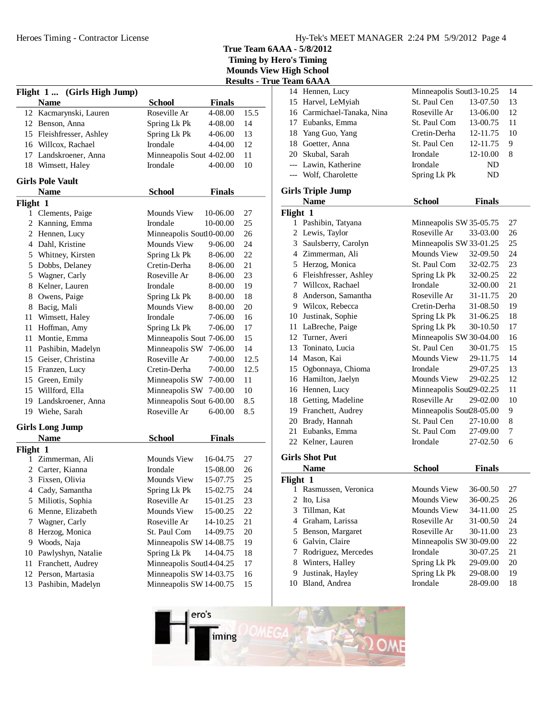|          |                             |                          |               | <b>Results - True</b> |
|----------|-----------------------------|--------------------------|---------------|-----------------------|
|          | Flight 1  (Girls High Jump) |                          |               |                       |
|          | <b>Name</b>                 | <b>School</b>            | <b>Finals</b> |                       |
|          | 12 Kacmarynski, Lauren      | Roseville Ar             | 4-08.00       | 15.5                  |
|          | 12 Benson, Anna             | Spring Lk Pk             | 4-08.00       | 14                    |
|          | 15 Fleishfresser, Ashley    | Spring Lk Pk             | 4-06.00       | 13                    |
|          | 16 Willcox, Rachael         | Irondale                 | 4-04.00       | 12                    |
|          | 17 Landskroener, Anna       | Minneapolis Sout 4-02.00 |               | 11                    |
|          | 18 Wimsett, Haley           | Irondale                 | 4-00.00       | 10                    |
|          | <b>Girls Pole Vault</b>     |                          |               |                       |
|          | <b>Name</b>                 | <b>School</b>            | <b>Finals</b> |                       |
| Flight 1 |                             |                          |               |                       |
|          | 1 Clements, Paige           | Mounds View              | 10-06.00      | 27                    |
|          | 2 Kanning, Emma             | Irondale                 | 10-00.00      | 25                    |
|          | 2 Hennen, Lucy              | Minneapolis Sout10-00.00 |               | 26                    |
|          | 4 Dahl, Kristine            | Mounds View              | 9-06.00       | 24                    |
|          | 5 Whitney, Kirsten          | Spring Lk Pk             | 8-06.00       | 22                    |
|          | 5 Dobbs, Delaney            | Cretin-Derha             | 8-06.00       | 21                    |
|          | 5 Wagner, Carly             | Roseville Ar             | 8-06.00       | 23                    |
| 8        | Kelner, Lauren              | Irondale                 | 8-00.00       | 19                    |
| 8        | Owens, Paige                | Spring Lk Pk             | 8-00.00       | 18                    |
|          |                             | <b>Mounds View</b>       |               |                       |
|          | 8 Bacig, Mali               |                          | 8-00.00       | 20                    |
| 11       | Wimsett, Haley              | Irondale                 | 7-06.00       | 16                    |
|          | 11 Hoffman, Amy             | Spring Lk Pk             | 7-06.00       | 17                    |
| 11       | Montie, Emma                | Minneapolis Sout 7-06.00 |               | 15                    |
| 11       | Pashibin, Madelyn           | Minneapolis SW           | 7-06.00       | 14                    |
|          | 15 Geiser, Christina        | Roseville Ar             | 7-00.00       | 12.5                  |
|          | 15 Franzen, Lucy            | Cretin-Derha             | 7-00.00       | 12.5                  |
|          | 15 Green, Emily             | Minneapolis SW 7-00.00   |               | 11                    |
|          | 15 Willford, Ella           | Minneapolis SW 7-00.00   |               | 10                    |
|          | 19 Landskroener, Anna       | Minneapolis Sout 6-00.00 |               | 8.5                   |
|          | 19 Wiehe, Sarah             | Roseville Ar             | 6-00.00       | 8.5                   |
|          | <b>Girls Long Jump</b>      |                          |               |                       |
|          | <b>Name</b>                 | <b>School</b>            | <b>Finals</b> |                       |
| Flight 1 |                             |                          |               |                       |
| 1        | Zimmerman, Ali              | Mounds View              | 16-04.75      | 27                    |
| 2        | Carter, Kianna              | Irondale                 | 15-08.00      | 26                    |
|          | 3 Fixsen, Olivia            | Mounds View              | 15-07.75      | 25                    |
| 4        | Cady, Samantha              | Spring Lk Pk             | 15-02.75      | 24                    |
| 5        | Miliotis, Sophia            | Roseville Ar             | 15-01.25      | 23                    |
| 6        | Menne, Elizabeth            | Mounds View              | 15-00.25      | $22\,$                |
| 7        | Wagner, Carly               | Roseville Ar             | 14-10.25      | 21                    |
| 8        | Herzog, Monica              | St. Paul Com             | 14-09.75      | $20\,$                |
| 9        | Woods, Naja                 | Minneapolis SW 14-08.75  |               | 19                    |
| 10       | Pawlyshyn, Natalie          | Spring Lk Pk             | 14-04.75      | 18                    |
| 11       | Franchett, Audrey           | Minneapolis Soutl4-04.25 |               | 17                    |
| 12       | Person, Martasia            | Minneapolis SW 14-03.75  |               | 16                    |
| 13       | Pashibin, Madelyn           | Minneapolis SW 14-00.75  |               | 15                    |
|          |                             |                          |               |                       |

|                         | Team 6AAA                  |                           |               |    |
|-------------------------|----------------------------|---------------------------|---------------|----|
| 14                      | Hennen, Lucy               | Minneapolis Soutl 3-10.25 |               | 14 |
|                         | 15 Harvel, LeMyiah         | St. Paul Cen              | 13-07.50      | 13 |
|                         | 16 Carmichael-Tanaka, Nina | Roseville Ar              | 13-06.00      | 12 |
|                         | 17 Eubanks, Emma           | St. Paul Com              | 13-00.75      | 11 |
|                         | 18 Yang Guo, Yang          | Cretin-Derha              | 12-11.75      | 10 |
|                         | 18 Goetter, Anna           | St. Paul Cen              | 12-11.75      | 9  |
|                         | 20 Skubal, Sarah           | Irondale                  | 12-10.00      | 8  |
|                         | --- Lawin, Katherine       | Irondale                  | ND            |    |
|                         | --- Wolf, Charolette       | Spring Lk Pk              | ND            |    |
|                         | <b>Girls Triple Jump</b>   |                           |               |    |
|                         | <b>Name</b>                | <b>School</b>             | <b>Finals</b> |    |
| Flight 1                |                            |                           |               |    |
|                         | 1 Pashibin, Tatyana        | Minneapolis SW 35-05.75   |               | 27 |
|                         | 2 Lewis, Taylor            | Roseville Ar              | 33-03.00      | 26 |
|                         | 3 Saulsberry, Carolyn      | Minneapolis SW 33-01.25   |               | 25 |
|                         | 4 Zimmerman, Ali           | <b>Mounds View</b>        | 32-09.50      | 24 |
|                         | 5 Herzog, Monica           | St. Paul Com              | 32-02.75      | 23 |
|                         | 6 Fleishfresser, Ashley    | Spring Lk Pk              | 32-00.25      | 22 |
|                         | 7 Willcox, Rachael         | Irondale                  | 32-00.00      | 21 |
|                         | 8 Anderson, Samantha       | Roseville Ar              | 31-11.75      | 20 |
|                         | 9 Wilcox, Rebecca          | Cretin-Derha              | 31-08.50      | 19 |
|                         | 10 Justinak, Sophie        | Spring Lk Pk              | 31-06.25      | 18 |
|                         | 11 LaBreche, Paige         | Spring Lk Pk              | 30-10.50      | 17 |
|                         | 12 Turner, Averi           | Minneapolis SW 30-04.00   |               | 16 |
|                         | 13 Toninato, Lucia         | St. Paul Cen              | 30-01.75      | 15 |
|                         | 14 Mason, Kai              | Mounds View               | 29-11.75      | 14 |
|                         | 15 Ogbonnaya, Chioma       | Irondale                  | 29-07.25      | 13 |
|                         | 16 Hamilton, Jaelyn        | Mounds View               | 29-02.25      | 12 |
|                         | 16 Hennen, Lucy            | Minneapolis Sout29-02.25  |               | 11 |
|                         | 18 Getting, Madeline       | Roseville Ar              | 29-02.00      | 10 |
|                         | 19 Franchett, Audrey       | Minneapolis Sout28-05.00  |               | 9  |
|                         | 20 Brady, Hannah           | St. Paul Cen              | 27-10.00      | 8  |
|                         | 21 Eubanks, Emma           | St. Paul Com              | 27-09.00      | 7  |
|                         | 22 Kelner, Lauren          | Irondale                  | 27-02.50      | 6  |
|                         | <b>Girls Shot Put</b>      |                           |               |    |
|                         | <b>Name</b>                | <b>School</b>             | <b>Finals</b> |    |
| Flight 1                |                            |                           |               |    |
| $\mathbf{1}$            | Rasmussen, Veronica        | Mounds View               | 36-00.50      | 27 |
| $\overline{\mathbf{c}}$ | Ito, Lisa                  | <b>Mounds View</b>        | 36-00.25      | 26 |
| 3                       | Tillman, Kat               | Mounds View               | 34-11.00      | 25 |
| $\overline{4}$          | Graham, Larissa            | Roseville Ar              | 31-00.50      | 24 |
| 5                       | Benson, Margaret           | Roseville Ar              | 30-11.00      | 23 |
| 6                       | Galvin, Claire             | Minneapolis SW 30-09.00   |               | 22 |
| 7                       | Rodriguez, Mercedes        | Irondale                  | 30-07.25      | 21 |
| 8                       | Winters, Halley            | Spring Lk Pk              | 29-09.00      | 20 |
| 9                       | Justinak, Hayley           | Spring Lk Pk              | 29-08.00      | 19 |
| 10                      | Bland, Andrea              | Irondale                  | 28-09.00      | 18 |
|                         |                            |                           |               |    |

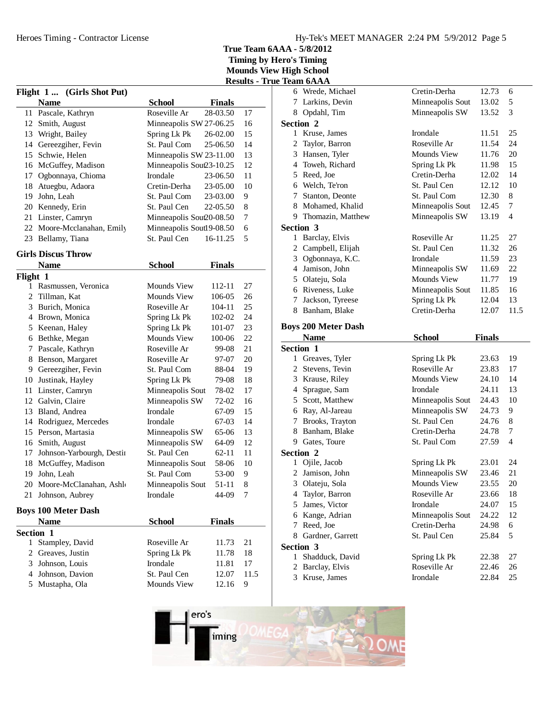|                | Flight 1  (Girls Shot Put) |                          |               |      |
|----------------|----------------------------|--------------------------|---------------|------|
|                | <b>Name</b>                | <b>School</b>            | <b>Finals</b> |      |
| 11             | Pascale, Kathryn           | Roseville Ar             | 28-03.50      | 17   |
| 12             | Smith, August              | Minneapolis SW 27-06.25  |               | 16   |
|                | 13 Wright, Bailey          | Spring Lk Pk             | 26-02.00      | 15   |
|                | 14 Gereezgiher, Fevin      | St. Paul Com             | 25-06.50      | 14   |
|                | 15 Schwie, Helen           | Minneapolis SW 23-11.00  |               | 13   |
|                | 16 McGuffey, Madison       | Minneapolis Sout23-10.25 |               | 12   |
| 17             | Ogbonnaya, Chioma          | Irondale                 | 23-06.50      | 11   |
| 18             | Atuegbu, Adaora            | Cretin-Derha             | 23-05.00      | 10   |
| 19             | John, Leah                 | St. Paul Com             | 23-03.00      | 9    |
| 20             | Kennedy, Erin              | St. Paul Cen             | 22-05.50      | 8    |
| 21             | Linster, Camryn            | Minneapolis Sout20-08.50 |               | 7    |
| 22             | Moore-Mcclanahan, Emily    | Minneapolis Soutl9-08.50 |               | 6    |
| 23             | Bellamy, Tiana             | St. Paul Cen             | 16-11.25      | 5    |
|                | <b>Girls Discus Throw</b>  |                          |               |      |
|                | <b>Name</b>                | <b>School</b>            | Finals        |      |
| Flight 1       |                            |                          |               |      |
| 1              | Rasmussen, Veronica        | Mounds View              | 112-11        | 27   |
| 2              | Tillman, Kat               | <b>Mounds View</b>       | 106-05        | 26   |
|                | 3 Burich, Monica           | Roseville Ar             | 104-11        | 25   |
|                | 4 Brown, Monica            | Spring Lk Pk             | 102-02        | 24   |
|                | 5 Keenan, Haley            | Spring Lk Pk             | 101-07        | 23   |
|                | 6 Bethke, Megan            | Mounds View              | 100-06        | 22   |
| 7              | Pascale, Kathryn           | Roseville Ar             | 99-08         | 21   |
| 8              | Benson, Margaret           | Roseville Ar             | 97-07         | 20   |
| 9              | Gereezgiher, Fevin         | St. Paul Com             | 88-04         | 19   |
|                | 10 Justinak, Hayley        | Spring Lk Pk             | 79-08         | 18   |
| 11             | Linster, Camryn            | Minneapolis Sout         | 78-02         | 17   |
|                | 12 Galvin, Claire          | Minneapolis SW           | 72-02         | 16   |
|                | 13 Bland, Andrea           | Irondale                 | 67-09         | 15   |
|                | 14 Rodriguez, Mercedes     | Irondale                 | 67-03         | 14   |
|                | 15 Person, Martasia        | Minneapolis SW           | 65-06         | 13   |
|                | 16 Smith, August           | Minneapolis SW           | 64-09         | 12   |
| 17             | Johnson-Yarbourgh, Destin  | St. Paul Cen             | 62-11         | 11   |
| 18             | McGuffey, Madison          | Minneapolis Sout         | 58-06         | 10   |
| 19             | John, Leah                 | St. Paul Com             | 53-00         | 9    |
| 20             | Moore-McClanahan, Ashlo    | Minneapolis Sout         | 51-11         | 8    |
| 21             | Johnson, Aubrey            | Irondale                 | 44-09         | 7    |
|                | <b>Boys 100 Meter Dash</b> |                          |               |      |
|                | <b>Name</b>                | <b>School</b>            | <b>Finals</b> |      |
| Section 1      |                            |                          |               |      |
|                | 1 Stampley, David          | Roseville Ar             | 11.73         | 21   |
| $\overline{2}$ | Greaves, Justin            | Spring Lk Pk             | 11.78         | 18   |
|                | 3 Johnson, Louis           | Irondale                 | 11.81         | 17   |
|                | 4 Johnson, Davion          | St. Paul Cen             | 12.07         | 11.5 |
|                | 5 Mustapha, Ola            | Mounds View              | 12.16         | 9    |
|                |                            |                          |               |      |

|             | <b>Results - True Team 6AAA</b> |              |                                  |                          |                |          |
|-------------|---------------------------------|--------------|----------------------------------|--------------------------|----------------|----------|
|             |                                 |              | 6 Wrede, Michael                 | Cretin-Derha             | 12.73          | 6        |
| als         |                                 |              | 7 Larkins, Devin                 | Minneapolis Sout         | 13.02          | 5        |
| .50         | 17                              |              | 8 Opdahl, Tim                    | Minneapolis SW           | 13.52          | 3        |
| .25         | 16                              |              | Section 2                        |                          |                |          |
| 00.2        | 15                              |              | 1 Kruse, James                   | Irondale                 | 11.51          | 25       |
| 50          | 14                              | 2            | Taylor, Barron                   | Roseville Ar             | 11.54          | 24       |
| .00         | 13                              |              | 3 Hansen, Tyler                  | Mounds View              | 11.76          | 20       |
| .25         | 12                              |              | 4 Toweh, Richard                 | Spring Lk Pk             | 11.98          | 15       |
| .50         | 11                              |              | 5 Reed, Joe                      | Cretin-Derha             | 12.02          | 14       |
| 00.5        | 10                              |              | 6 Welch, Te'ron                  | St. Paul Cen             | 12.12          | 10       |
| 00.5        | 9                               | 7            | Stanton, Deonte                  | St. Paul Com             | 12.30          | 8        |
| .50         | 8                               | 8            | Mohamed, Khalid                  | Minneapolis Sout         | 12.45          | 7        |
| .50         | 7                               |              | 9 Thomazin, Matthew              | Minneapolis SW           | 13.19          | 4        |
| .50         | 6                               |              | Section 3                        |                          |                |          |
| .25         | 5                               | 1            | Barclay, Elvis                   | Roseville Ar             | 11.25          | 27       |
|             |                                 |              | 2 Campbell, Elijah               | St. Paul Cen             | 11.32          | 26       |
|             |                                 |              | 3 Ogbonnaya, K.C.                | Irondale                 | 11.59          | 23       |
| als         |                                 |              | 4 Jamison, John                  | Minneapolis SW           | 11.69          | 22       |
|             |                                 |              | 5 Olateju, Sola                  | <b>Mounds View</b>       | 11.77          | 19       |
| -11         | 27                              |              | 6 Riveness, Luke                 | Minneapolis Sout         | 11.85          | 16       |
| $-05$       | 26                              | $\tau$       | Jackson, Tyreese                 | Spring Lk Pk             | 12.04          | 13       |
| -11         | 25                              |              | 8 Banham, Blake                  | Cretin-Derha             | 12.07          | 11.5     |
| $-02$       | 24                              |              |                                  |                          |                |          |
| $-07$       |                                 |              |                                  |                          |                |          |
|             | 23                              |              | <b>Boys 200 Meter Dash</b>       |                          |                |          |
| $-06$       | 22                              |              | <b>Name</b>                      | <b>School</b>            | <b>Finals</b>  |          |
| $-08$       | 21                              | Section 1    |                                  |                          |                |          |
| $-07$       | 20                              |              | 1 Greaves, Tyler                 | Spring Lk Pk             | 23.63          | 19       |
| -04         | 19                              | 2            | Stevens, Tevin                   | Roseville Ar             | 23.83          | 17       |
| $-08$       | 18                              |              | 3 Krause, Riley                  | Mounds View              | 24.10          | 14       |
| $-02$       | 17                              | 4            | Sprague, Sam                     | Irondale                 | 24.11          | 13       |
| $-02$       | 16                              |              | 5 Scott, Matthew                 | Minneapolis Sout         | 24.43          | 10       |
| $-09$       | 15                              |              | 6 Ray, Al-Jareau                 | Minneapolis SW           | 24.73          | 9        |
| $-03$       | 14                              |              | 7 Brooks, Trayton                | St. Paul Cen             | 24.76          | 8        |
| $-06$       | 13                              |              | 8 Banham, Blake                  | Cretin-Derha             | 24.78          | 7        |
| $-09$       | 12                              |              | 9 Gates, Toure                   | St. Paul Com             | 27.59          | 4        |
| $-11$       | 11                              |              | Section 2                        |                          |                |          |
| $-06$       | 10                              | $\mathbf{1}$ | Ojile, Jacob                     | Spring Lk Pk             | 23.01          | 24       |
| $-00$       | 9                               |              | 2 Jamison, John                  | Minneapolis SW           | 23.46          | 21       |
| $-11$       | 8                               | 3            | Olateju, Sola                    | Mounds View              | 23.55          | 20       |
| $-09$       | 7                               | 4            | Taylor, Barron                   | Roseville Ar             | 23.66          | 18       |
|             |                                 | 5            | James, Victor                    | Irondale                 | 24.07          | 15       |
|             |                                 | 6            | Kange, Adrian                    | Minneapolis Sout         | 24.22          | 12       |
|             |                                 | 7            | Reed, Joe                        | Cretin-Derha             | 24.98          | 6        |
| als         |                                 | 8            | Gardner, Garrett                 | St. Paul Cen             | 25.84          | 5        |
| .73         | 21                              |              | Section 3                        |                          |                |          |
| .78         | 18                              |              | 1 Shadduck, David                | Spring Lk Pk             | 22.38          | 27       |
| .81<br>2.07 | 17<br>11.5                      | 2            | Barclay, Elvis<br>3 Kruse, James | Roseville Ar<br>Irondale | 22.46<br>22.84 | 26<br>25 |

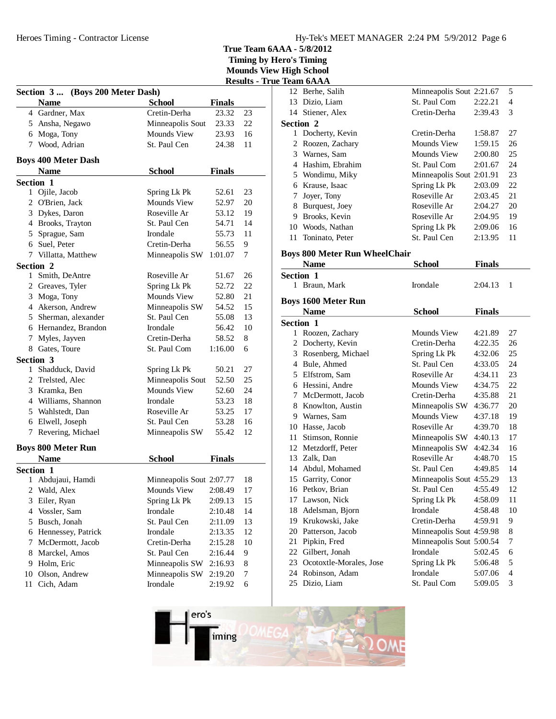Heroes Timing - Contractor License

| Hy-Tek's MEET MANAGER 2:24 PM 5/9/2012 Page 6 |  |  |  |
|-----------------------------------------------|--|--|--|
|-----------------------------------------------|--|--|--|

**True Team 6AAA - 5/8/2012**

|           |                                  |                          |                    |        | <b>Results - True Team 6AAA</b> |                    |
|-----------|----------------------------------|--------------------------|--------------------|--------|---------------------------------|--------------------|
|           | Section 3  (Boys 200 Meter Dash) |                          |                    |        |                                 | 12 Berhe, S        |
|           | <b>Name</b>                      | <b>School</b>            | <b>Finals</b>      |        |                                 | 13 Dizio, L        |
|           | 4 Gardner, Max                   | Cretin-Derha             | 23.32              | 23     |                                 | 14 Stiener,        |
|           | 5 Ansha, Negawo                  | Minneapolis Sout         | 23.33              | 22     | Section 2                       |                    |
|           | 6 Moga, Tony                     | Mounds View              | 23.93              | 16     |                                 | 1 Dochert          |
|           | 7 Wood, Adrian                   | St. Paul Cen             | 24.38              | 11     |                                 | 2 Roozen,          |
|           |                                  |                          |                    |        |                                 | 3 Warnes,          |
|           | <b>Boys 400 Meter Dash</b>       |                          |                    |        |                                 | 4 Hashim.          |
|           | <b>Name</b>                      | <b>School</b>            | <b>Finals</b>      |        |                                 | 5 Wondim           |
| Section 1 |                                  |                          |                    |        |                                 | 6 Krause,          |
|           | 1 Ojile, Jacob                   | Spring Lk Pk             | 52.61              | 23     | 7                               | Joyer, To          |
|           | 2 O'Brien, Jack                  | Mounds View              | 52.97              | 20     |                                 | 8 Burques          |
|           | 3 Dykes, Daron                   | Roseville Ar             | 53.12              | 19     |                                 | 9 Brooks,          |
|           | 4 Brooks, Trayton                | St. Paul Cen             | 54.71              | 14     |                                 | 10 Woods,          |
|           | 5 Sprague, Sam                   | Irondale                 | 55.73              | 11     | 11                              | Toninato           |
|           | 6 Suel, Peter                    | Cretin-Derha             | 56.55              | 9      |                                 |                    |
|           | 7 Villatta, Matthew              | Minneapolis SW           | 1:01.07            | 7      |                                 | Boys 800 Me        |
| Section 2 |                                  |                          |                    |        |                                 | <b>Name</b>        |
|           | 1 Smith, DeAntre                 | Roseville Ar             | 51.67              | 26     | Section 1                       |                    |
|           | 2 Greaves, Tyler                 | Spring Lk Pk             | 52.72              | 22     |                                 | 1 Braun, N         |
|           | 3 Moga, Tony                     | Mounds View              | 52.80              | 21     |                                 | <b>Boys 1600 M</b> |
|           | 4 Akerson, Andrew                | Minneapolis SW           | 54.52              | 15     |                                 | <b>Name</b>        |
|           | 5 Sherman, alexander             | St. Paul Cen             | 55.08              | 13     | Section 1                       |                    |
|           | 6 Hernandez, Brandon             | Irondale                 | 56.42              | 10     |                                 | 1 Roozen,          |
|           | 7 Myles, Jayven                  | Cretin-Derha             | 58.52              | 8      |                                 | 2 Dochert          |
|           | 8 Gates, Toure                   | St. Paul Com             | 1:16.00            | 6      |                                 | 3 Rosenbe          |
| Section 3 |                                  |                          |                    |        |                                 | 4 Bule, Al         |
| 1         | Shadduck, David                  | Spring Lk Pk             | 50.21              | 27     |                                 | 5 Elfstron         |
|           | 2 Trelsted, Alec                 | Minneapolis Sout         | 52.50              | 25     |                                 | 6 Hessini,         |
|           | 3 Kramka, Ben                    | Mounds View              | 52.60              | 24     | 7                               | McDern             |
|           | 4 Williams, Shannon              | Irondale                 | 53.23              | 18     |                                 | 8 Knowlto          |
|           | 5 Wahlstedt, Dan                 | Roseville Ar             | 53.25              | 17     |                                 | 9 Warnes,          |
|           | 6 Elwell, Joseph                 | St. Paul Cen             | 53.28              | 16     |                                 | 10 Hasse, J        |
|           | 7 Revering, Michael              | Minneapolis SW           | 55.42              | 12     | 11                              | Stimson            |
|           | <b>Boys 800 Meter Run</b>        |                          |                    |        |                                 | 12 Metzdor         |
|           | <b>Name</b>                      | <b>School</b>            | <b>Finals</b>      |        |                                 | 13 Zalk, Da        |
| Section 1 |                                  |                          |                    |        | 14                              | Abdul, N           |
|           | 1 Abdujaui, Hamdi                | Minneapolis Sout 2:07.77 |                    | 18     |                                 | 15 Garrity,        |
|           | 2 Wald, Alex                     | Mounds View              | 2:08.49            | 17     |                                 | 16 Petkov,         |
| 3         | Eiler, Ryan                      | Spring Lk Pk             | 2:09.13            | 15     | 17                              | Lawson,            |
| 4         | Vossler, Sam                     | Irondale                 | 2:10.48            | 14     | 18                              | Adelsma            |
|           | 5 Busch, Jonah                   | St. Paul Cen             | 2:11.09            | 13     | 19                              | Krukow             |
|           | 6 Hennessey, Patrick             | Irondale                 |                    | 12     | 20                              | Patterso           |
| 7         | McDermott, Jacob                 | Cretin-Derha             | 2:13.35<br>2:15.28 | 10     | 21                              | Pipkin, l          |
|           | Marckel, Amos                    | St. Paul Cen             |                    |        |                                 | 22 Gilbert,        |
| 8         | 9 Holm, Eric                     | Minneapolis SW           | 2:16.44            | 9<br>8 | 23                              | Ocotoxt            |
| 10        | Olson, Andrew                    | Minneapolis SW           | 2:16.93            | 7      |                                 | 24 Robinso         |
| 11        | Cich, Adam                       | Irondale                 | 2:19.20            | 6      |                                 | 25 Dizio, L        |
|           |                                  |                          | 2:19.92            |        |                                 |                    |

|                  | rtam orman                           |                          |               |    |
|------------------|--------------------------------------|--------------------------|---------------|----|
|                  | 12 Berhe, Salih                      | Minneapolis Sout 2:21.67 |               | 5  |
| 13               | Dizio, Liam                          | St. Paul Com             | 2:22.21       | 4  |
|                  | 14 Stiener, Alex                     | Cretin-Derha             | 2:39.43       | 3  |
| <b>Section 2</b> |                                      |                          |               |    |
| 1                | Docherty, Kevin                      | Cretin-Derha             | 1:58.87       | 27 |
| 2                | Roozen, Zachary                      | Mounds View              | 1:59.15       | 26 |
|                  | 3 Warnes, Sam                        | <b>Mounds View</b>       | 2:00.80       | 25 |
|                  | 4 Hashim, Ebrahim                    | St. Paul Com             | 2:01.67       | 24 |
|                  | 5 Wondimu, Miky                      | Minneapolis Sout 2:01.91 |               | 23 |
|                  | 6 Krause, Isaac                      | Spring Lk Pk             | 2:03.09       | 22 |
|                  | 7 Joyer, Tony                        | Roseville Ar             | 2:03.45       | 21 |
| 8                | Burquest, Joey                       | Roseville Ar             | 2:04.27       | 20 |
|                  | 9 Brooks, Kevin                      | Roseville Ar             | 2:04.95       | 19 |
|                  | 10 Woods, Nathan                     | Spring Lk Pk             | 2:09.06       | 16 |
| 11               | Toninato, Peter                      | St. Paul Cen             | 2:13.95       | 11 |
|                  | <b>Boys 800 Meter Run WheelChair</b> |                          |               |    |
|                  | <b>Name</b>                          | <b>School</b>            | <b>Finals</b> |    |
| <b>Section 1</b> |                                      |                          |               |    |
| 1                | Braun, Mark                          | Irondale                 | 2:04.13       | 1  |
|                  |                                      |                          |               |    |
|                  | <b>Boys 1600 Meter Run</b>           |                          |               |    |
|                  | <b>Name</b>                          | <b>School</b>            | <b>Finals</b> |    |
| <b>Section 1</b> |                                      |                          |               |    |
|                  | 1 Roozen, Zachary                    | Mounds View              | 4:21.89       | 27 |
|                  | 2 Docherty, Kevin                    | Cretin-Derha             | 4:22.35       | 26 |
|                  | 3 Rosenberg, Michael                 | Spring Lk Pk             | 4:32.06       | 25 |
|                  | 4 Bule, Ahmed                        | St. Paul Cen             | 4:33.05       | 24 |
|                  | 5 Elfstrom, Sam                      | Roseville Ar             | 4:34.11       | 23 |
|                  | 6 Hessini, Andre                     | Mounds View              | 4:34.75       | 22 |
| 7                | McDermott, Jacob                     | Cretin-Derha             | 4:35.88       | 21 |
| 8                | Knowlton, Austin                     | Minneapolis SW           | 4:36.77       | 20 |
|                  | 9 Warnes, Sam                        | <b>Mounds View</b>       | 4:37.18       | 19 |
|                  | 10 Hasse, Jacob                      | Roseville Ar             | 4:39.70       | 18 |
| 11               | Stimson, Ronnie                      | Minneapolis SW 4:40.13   |               | 17 |
|                  | 12 Metzdorff, Peter                  | Minneapolis SW 4:42.34   |               | 16 |
|                  | 13 Zalk, Dan                         | Roseville Ar             | 4:48.70       | 15 |
|                  | 14 Abdul, Mohamed                    | St. Paul Cen             | 4:49.85       | 14 |
|                  | 15 Garrity, Conor                    | Minneapolis Sout 4:55.29 |               | 13 |
|                  | 16 Petkov, Brian                     | St. Paul Cen 4:55.49     |               | 12 |
|                  | 17 Lawson, Nick                      | Spring Lk Pk             | 4:58.09       | 11 |
| 18               | Adelsman, Bjorn                      | Irondale                 | 4:58.48       | 10 |
| 19               | Krukowski, Jake                      | Cretin-Derha             | 4:59.91       | 9  |
| 20               | Patterson, Jacob                     | Minneapolis Sout 4:59.98 |               | 8  |
| 21               | Pipkin, Fred                         | Minneapolis Sout 5:00.54 |               | 7  |
| 22               | Gilbert, Jonah                       | Irondale                 | 5:02.45       | 6  |
| 23               | Ocotoxtle-Morales, Jose              | Spring Lk Pk             | 5:06.48       | 5  |
| 24               | Robinson, Adam                       | Irondale                 | 5:07.06       | 4  |
| 25               | Dizio, Liam                          | St. Paul Com             | 5:09.05       | 3  |
|                  |                                      |                          |               |    |

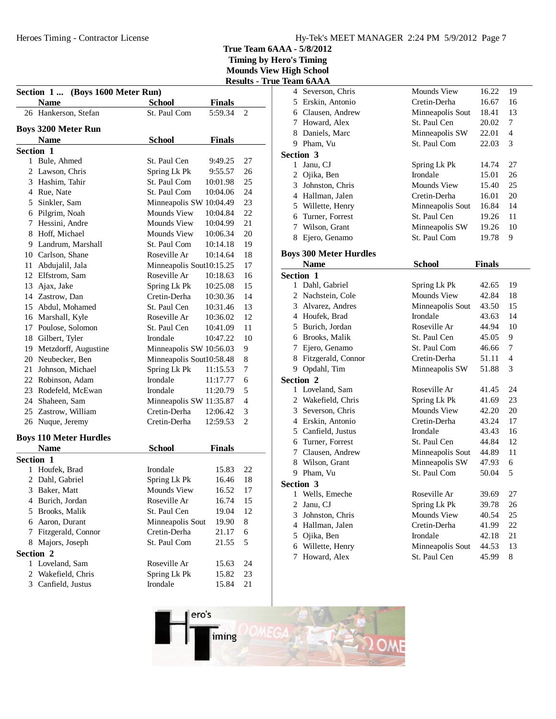|  |  | $m$ $\alpha$ $m$ $\alpha$ $n$ $\beta$ $m$ $\beta$ $m$ $\beta$ $m$ $\beta$ $m$ $\beta$ $m$ |
|--|--|-------------------------------------------------------------------------------------------|
|  |  | <b>Results - True Team 6AAA</b>                                                           |
|  |  |                                                                                           |

| Section 1 (Boys 1600 Meter Run) |                               |                          |               |                |  |
|---------------------------------|-------------------------------|--------------------------|---------------|----------------|--|
|                                 | <b>Name</b>                   | <b>School</b>            | <b>Finals</b> |                |  |
|                                 | 26 Hankerson, Stefan          | St. Paul Com             | 5:59.34       | 2              |  |
|                                 | <b>Boys 3200 Meter Run</b>    |                          |               |                |  |
|                                 | <b>Name</b>                   | <b>School</b>            | <b>Finals</b> |                |  |
| Section 1                       |                               |                          |               |                |  |
|                                 | 1 Bule, Ahmed                 | St. Paul Cen             | 9:49.25       | 27             |  |
|                                 | 2 Lawson, Chris               | Spring Lk Pk             | 9:55.57       | 26             |  |
|                                 | 3 Hashim, Tahir               | St. Paul Com             | 10:01.98      | 25             |  |
|                                 | 4 Rue, Nate                   | St. Paul Com             | 10:04.06      | 24             |  |
|                                 | 5 Sinkler, Sam                | Minneapolis SW 10:04.49  |               | 23             |  |
|                                 | 6 Pilgrim, Noah               | Mounds View              | 10:04.84      | 22             |  |
|                                 | 7 Hessini, Andre              | Mounds View              | 10:04.99      | 21             |  |
| 8                               | Hoff, Michael                 | Mounds View              | 10:06.34      | 20             |  |
|                                 | 9 Landrum, Marshall           | St. Paul Com             | 10:14.18      | 19             |  |
|                                 | 10 Carlson, Shane             | Roseville Ar             | 10:14.64      | 18             |  |
|                                 | 11 Abdujalil, Jala            | Minneapolis Sout10:15.25 |               | 17             |  |
|                                 | 12 Elfstrom, Sam              | Roseville Ar             | 10:18.63      | 16             |  |
|                                 | 13 Ajax, Jake                 | Spring Lk Pk             | 10:25.08      | 15             |  |
|                                 | 14 Zastrow, Dan               | Cretin-Derha             | 10:30.36      | 14             |  |
|                                 | 15 Abdul, Mohamed             | St. Paul Cen             | 10:31.46      | 13             |  |
|                                 | 16 Marshall, Kyle             | Roseville Ar             | 10:36.02      | 12             |  |
|                                 | 17 Poulose, Solomon           | St. Paul Cen             | 10:41.09      | 11             |  |
|                                 | 18 Gilbert, Tyler             | Irondale                 | 10:47.22      | 10             |  |
|                                 | 19 Metzdorff, Augustine       | Minneapolis SW 10:56.03  |               | 9              |  |
|                                 | 20 Neubecker, Ben             | Minneapolis Sout10:58.48 |               | 8              |  |
| 21                              | Johnson, Michael              | Spring Lk Pk             | 11:15.53      | 7              |  |
|                                 | 22 Robinson, Adam             | Irondale                 | 11:17.77      | 6              |  |
|                                 | 23 Rodefeld, McEwan           | Irondale                 | 11:20.79      | 5              |  |
|                                 | 24 Shaheen, Sam               | Minneapolis SW 11:35.87  |               | $\overline{4}$ |  |
|                                 | 25 Zastrow, William           | Cretin-Derha             | 12:06.42      | 3              |  |
| 26                              | Nuque, Jeremy                 | Cretin-Derha             | 12:59.53      | $\overline{2}$ |  |
|                                 |                               |                          |               |                |  |
|                                 | <b>Boys 110 Meter Hurdles</b> |                          |               |                |  |
| Section 1                       | <b>Name</b>                   | <b>School</b>            | <b>Finals</b> |                |  |
| 1                               | Houfek, Brad                  | Irondale                 | 15.83         | 22             |  |
| $\mathfrak{2}$                  | Dahl, Gabriel                 | Spring Lk Pk             | 16.46         | 18             |  |
| 3                               | Baker, Matt                   | Mounds View              | 16.52         | 17             |  |
| 4                               | Burich, Jordan                | Roseville Ar             | 16.74         | 15             |  |
| 5                               | Brooks, Malik                 | St. Paul Cen             | 19.04         | 12             |  |
| 6                               | Aaron, Durant                 | Minneapolis Sout         | 19.90         | 8              |  |
| 7                               | Fitzgerald, Connor            | Cretin-Derha             | 21.17         | 6              |  |
| 8                               | Majors, Joseph                | St. Paul Com             | 21.55         | 5              |  |
| Section 2                       |                               |                          |               |                |  |
|                                 | 1 Loveland, Sam               | Roseville Ar             | 15.63         | 24             |  |
| $\mathfrak{2}$                  | Wakefield, Chris              | Spring Lk Pk             | 15.82         | 23             |  |
| 3                               | Canfield, Justus              | Irondale                 | 15.84         | 21             |  |
|                                 |                               |                          |               |                |  |

|                | 1eam 6AAA                     |                    |               |                |
|----------------|-------------------------------|--------------------|---------------|----------------|
| 4              | Severson, Chris               | <b>Mounds View</b> | 16.22         | 19             |
|                | 5 Erskin, Antonio             | Cretin-Derha       | 16.67         | 16             |
|                | 6 Clausen, Andrew             | Minneapolis Sout   | 18.41         | 13             |
|                | 7 Howard, Alex                | St. Paul Cen       | 20.02         | 7              |
|                | 8 Daniels, Marc               | Minneapolis SW     | 22.01         | $\overline{4}$ |
|                | 9 Pham, Vu                    | St. Paul Com       | 22.03         | 3              |
|                | Section 3                     |                    |               |                |
|                | 1 Janu, CJ                    | Spring Lk Pk       | 14.74         | 27             |
|                | 2 Ojika, Ben                  | Irondale           | 15.01         | 26             |
|                | 3 Johnston, Chris             | <b>Mounds View</b> | 15.40         | 25             |
|                | 4 Hallman, Jalen              | Cretin-Derha       | 16.01         | 20             |
|                | 5 Willette, Henry             | Minneapolis Sout   | 16.84         | 14             |
|                | 6 Turner, Forrest             | St. Paul Cen       | 19.26         | 11             |
|                | 7 Wilson, Grant               | Minneapolis SW     | 19.26         | 10             |
| 8              | Ejero, Genamo                 | St. Paul Com       | 19.78         | 9              |
|                | <b>Boys 300 Meter Hurdles</b> |                    |               |                |
|                | <b>Name</b>                   | <b>School</b>      | <b>Finals</b> |                |
|                | Section 1                     |                    |               |                |
|                | 1 Dahl, Gabriel               | Spring Lk Pk       | 42.65         | 19             |
|                | 2 Nachstein, Cole             | <b>Mounds View</b> | 42.84         | 18             |
|                | 3 Alvarez, Andres             | Minneapolis Sout   | 43.50         | 15             |
|                | 4 Houfek, Brad                | Irondale           | 43.63         | 14             |
|                | 5 Burich, Jordan              | Roseville Ar       | 44.94         | 10             |
|                | 6 Brooks, Malik               | St. Paul Cen       | 45.05         | 9              |
| 7              | Ejero, Genamo                 | St. Paul Com       | 46.66         | 7              |
| 8              | Fitzgerald, Connor            | Cretin-Derha       | 51.11         | 4              |
|                | 9 Opdahl, Tim                 | Minneapolis SW     | 51.88         | 3              |
|                | Section 2                     |                    |               |                |
|                | 1 Loveland, Sam               | Roseville Ar       | 41.45         | 24             |
|                | 2 Wakefield, Chris            | Spring Lk Pk       | 41.69         | 23             |
|                | 3 Severson, Chris             | Mounds View        | 42.20         | 20             |
|                | 4 Erskin, Antonio             | Cretin-Derha       | 43.24         | 17             |
|                | 5 Canfield, Justus            | Irondale           | 43.43         | 16             |
|                | 6 Turner, Forrest             | St. Paul Cen       | 44.84         | 12             |
|                | 7 Clausen, Andrew             | Minneapolis Sout   | 44.89         | 11             |
|                | 8 Wilson, Grant               | Minneapolis SW     | 47.93         | 6              |
|                | 9 Pham, Vu                    | St. Paul Com       | 50.04         | 5              |
|                | Section 3                     |                    |               |                |
| 1              | Wells, Emeche                 | Roseville Ar       | 39.69         | 27             |
| $\overline{2}$ | Janu, CJ                      | Spring Lk Pk       | 39.78         | 26             |
| 3              | Johnston, Chris               | Mounds View        | 40.54         | 25             |
| $\overline{4}$ | Hallman, Jalen                | Cretin-Derha       | 41.99         | 22             |
| 5              | Ojika, Ben                    | Irondale           | 42.18         | 21             |
| 6              | Willette, Henry               | Minneapolis Sout   | 44.53         | 13             |
| 7              | Howard, Alex                  | St. Paul Cen       | 45.99         | 8              |

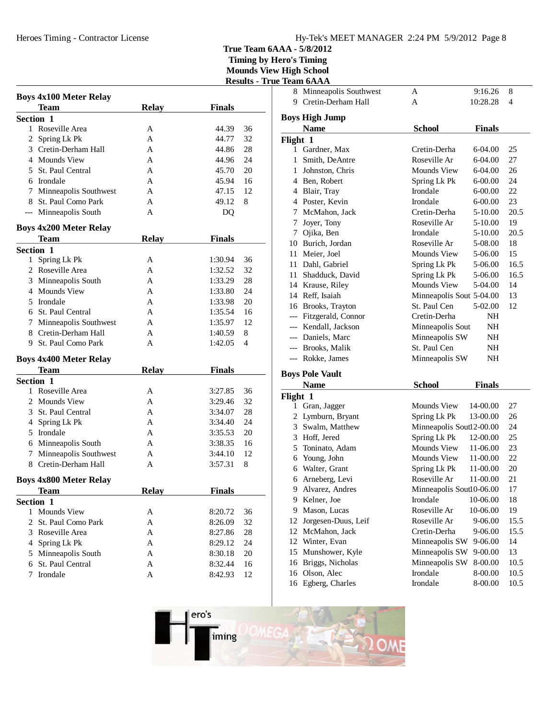## Hy-Tek's MEET MANAGER 2:24 PM 5/9/2012 Page 8

**True Team 6AAA - 5/8/2012**

**Timing by Hero's Timing**

**Mounds View High School Results - True T** 

| <b>Boys 4x100 Meter Relay</b>        |              |               |    |
|--------------------------------------|--------------|---------------|----|
| Team                                 | <b>Relay</b> | <b>Finals</b> |    |
| Section 1                            |              |               |    |
| 1 Roseville Area                     | A            | 44.39         | 36 |
| 2 Spring Lk Pk                       | A            | 44.77         | 32 |
| 3 Cretin-Derham Hall                 | A            | 44.86         | 28 |
| 4 Mounds View                        | A            | 44.96         | 24 |
| 5 St. Paul Central                   | A            | 45.70         | 20 |
| 6 Irondale                           | A            | 45.94         | 16 |
| 7 Minneapolis Southwest              | A            | 47.15         | 12 |
| 8 St. Paul Como Park                 | A            | 49.12         | 8  |
| --- Minneapolis South                | A            | DQ            |    |
| <b>Boys 4x200 Meter Relay</b>        |              |               |    |
| <b>Team</b>                          | <b>Relay</b> | <b>Finals</b> |    |
| Section 1                            |              |               |    |
| Spring Lk Pk<br>1                    | А            | 1:30.94       | 36 |
| 2 Roseville Area                     | A            | 1:32.52       | 32 |
| 3 Minneapolis South                  | A            | 1:33.29       | 28 |
| 4 Mounds View                        | A            | 1:33.80       | 24 |
| 5 Irondale                           | A            | 1:33.98       | 20 |
| 6 St. Paul Central                   | A            | 1:35.54       | 16 |
| 7 Minneapolis Southwest              | A            | 1:35.97       | 12 |
| 8 Cretin-Derham Hall                 | A            | 1:40.59       | 8  |
| 9 St. Paul Como Park                 | A            | 1:42.05       | 4  |
| <b>Boys 4x400 Meter Relay</b>        |              |               |    |
| Team                                 | <b>Relay</b> | <b>Finals</b> |    |
| Section 1                            |              |               |    |
| 1 Roseville Area                     | А            | 3:27.85       | 36 |
| 2 Mounds View                        | A            | 3:29.46       | 32 |
| 3 St. Paul Central                   | A            | 3:34.07       | 28 |
| 4 Spring Lk Pk                       | A            | 3:34.40       | 24 |
| 5 Irondale                           | A            | 3:35.53       | 20 |
| 6 Minneapolis South                  | A            | 3:38.35       | 16 |
| 7 Minneapolis Southwest              | А            | 3:44.10       | 12 |
| 8 Cretin-Derham Hall                 | A            | 3:57.31       | 8  |
| <b>Boys 4x800 Meter Relay</b>        |              |               |    |
| Team                                 | <b>Relay</b> | <b>Finals</b> |    |
| Section 1                            |              |               |    |
| <b>Mounds View</b><br>$\mathbf{1}$   | A            | 8:20.72       | 36 |
| $\mathfrak{D}$<br>St. Paul Como Park | A            | 8:26.09       | 32 |
| 3 Roseville Area                     | A            | 8:27.86       | 28 |
| 4 Spring Lk Pk                       | A            | 8:29.12       | 24 |
| Minneapolis South<br>5               | A            | 8:30.18       | 20 |
| St. Paul Central<br>6                | A            | 8:32.44       | 16 |
| Irondale<br>7                        | A            | 8:42.93       | 12 |

| £        | <b>Team 6AAA</b>        |                          |               |      |
|----------|-------------------------|--------------------------|---------------|------|
|          | 8 Minneapolis Southwest | A                        | 9:16.26       | 8    |
| 9        | Cretin-Derham Hall      | A                        | 10:28.28      | 4    |
|          | <b>Boys High Jump</b>   |                          |               |      |
|          |                         |                          |               |      |
|          | <b>Name</b>             | <b>School</b>            | <b>Finals</b> |      |
| Flight 1 |                         |                          |               |      |
| 1        | Gardner, Max            | Cretin-Derha             | 6-04.00       | 25   |
| 1        | Smith, DeAntre          | Roseville Ar             | 6-04.00       | 27   |
| 1        | Johnston, Chris         | <b>Mounds View</b>       | 6-04.00       | 26   |
|          | 4 Ben, Robert           | Spring Lk Pk             | $6 - 00.00$   | 24   |
| 4        | Blair, Tray             | Irondale                 | $6 - 00.00$   | 22   |
|          | 4 Poster, Kevin         | Irondale                 | $6 - 00.00$   | 23   |
| 7        | McMahon, Jack           | Cretin-Derha             | 5-10.00       | 20.5 |
| 7        | Joyer, Tony             | Roseville Ar             | 5-10.00       | 19   |
| 7        | Ojika, Ben              | Irondale                 | 5-10.00       | 20.5 |
| 10       | Burich, Jordan          | Roseville Ar             | 5-08.00       | 18   |
| 11       | Meier, Joel             | Mounds View              | 5-06.00       | 15   |
| 11       | Dahl, Gabriel           | Spring Lk Pk             | 5-06.00       | 16.5 |
| 11       | Shadduck, David         | Spring Lk Pk             | 5-06.00       | 16.5 |
|          | 14 Krause, Riley        | Mounds View              | 5-04.00       | 14   |
|          | 14 Reff. Isaiah         | Minneapolis Sout 5-04.00 |               | 13   |
| 16       | Brooks, Trayton         | St. Paul Cen             | 5-02.00       | 12   |
|          | Fitzgerald, Connor      | Cretin-Derha             | NH            |      |
|          | Kendall, Jackson        | Minneapolis Sout         | NH            |      |
|          | --- Daniels, Marc       | Minneapolis SW           | NH            |      |
|          | --- Brooks, Malik       | St. Paul Cen             | NH            |      |
|          | --- Rokke, James        | Minneapolis SW           | NH            |      |
|          | <b>Boys Pole Vault</b>  |                          |               |      |
|          |                         |                          | $\mathbf{r}$  |      |

|          | Name                | School                   | <b>Finals</b> |      |
|----------|---------------------|--------------------------|---------------|------|
| Flight 1 |                     |                          |               |      |
| 1        | Gran, Jagger        | Mounds View              | 14-00.00      | 27   |
| 2        | Lymburn, Bryant     | Spring Lk Pk             | 13-00.00      | 26   |
| 3        | Swalm, Matthew      | Minneapolis Soutl2-00.00 |               | 24   |
| 3        | Hoff, Jered         | Spring Lk Pk             | 12-00.00      | 25   |
| 5        | Toninato, Adam      | Mounds View              | 11-06.00      | 23   |
| 6        | Young, John         | Mounds View              | 11-00.00      | 22   |
| 6        | Walter, Grant       | Spring Lk Pk             | 11-00.00      | 20   |
| 6        | Arneberg, Levi      | Roseville Ar             | 11-00.00      | 21   |
| 9        | Alvarez, Andres     | Minneapolis Sout10-06.00 |               | 17   |
| 9        | Kelner, Joe         | Irondale                 | 10-06.00      | 18   |
| 9        | Mason, Lucas        | Roseville Ar             | 10-06.00      | 19   |
| 12       | Jorgesen-Duus, Leif | Roseville Ar             | $9 - 06.00$   | 15.5 |
| 12       | McMahon, Jack       | Cretin-Derha             | $9 - 06.00$   | 15.5 |
| 12       | Winter, Evan        | Minneapolis SW           | $9 - 06.00$   | 14   |
| 15       | Munshower, Kyle     | Minneapolis SW           | $9 - 00.00$   | 13   |
| 16       | Briggs, Nicholas    | Minneapolis SW           | 8-00.00       | 10.5 |
| 16       | Olson, Alec         | Irondale                 | 8-00.00       | 10.5 |
|          | 16 Egberg, Charles  | Irondale                 | 8-00.00       | 10.5 |

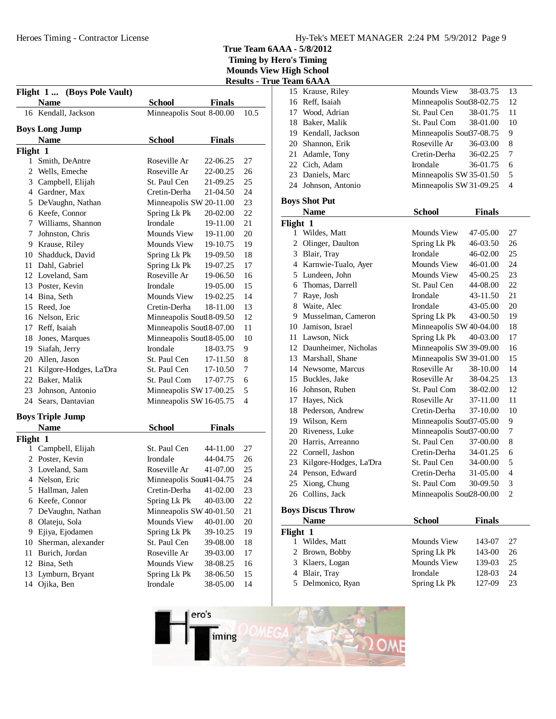**True Team 6AAA - 5/8/2012 Timing by Hero's Timing**

**Mounds View High School Results - True Team 6AAA**

|               | Flight 1  (Boys Pole Vault) |                           |               |      |
|---------------|-----------------------------|---------------------------|---------------|------|
|               | <b>Name</b>                 | School                    | <b>Finals</b> |      |
|               | 16 Kendall, Jackson         | Minneapolis Sout 8-00.00  |               | 10.5 |
|               | Boys Long Jump              |                           |               |      |
|               | <b>Name</b>                 | <b>School</b>             | <b>Finals</b> |      |
|               |                             |                           |               |      |
| Flight 1<br>1 | Smith, DeAntre              | Roseville Ar              | 22-06.25      | 27   |
| 2             | Wells, Emeche               | Roseville Ar              | 22-00.25      | 26   |
|               | 3 Campbell, Elijah          | St. Paul Cen              |               | 25   |
|               |                             |                           | 21-09.25      |      |
|               | 4 Gardner, Max              | Cretin-Derha              | 21-04.50      | 24   |
|               | 5 De Vaughn, Nathan         | Minneapolis SW 20-11.00   |               | 23   |
|               | 6 Keefe, Connor             | Spring Lk Pk              | 20-02.00      | 22   |
| 7             | Williams, Shannon           | Irondale                  | 19-11.00      | 21   |
| 7             | Johnston, Chris             | Mounds View               | 19-11.00      | 20   |
|               | 9 Krause, Riley             | Mounds View               | 19-10.75      | 19   |
|               | 10 Shadduck, David          | Spring Lk Pk              | 19-09.50      | 18   |
| 11            | Dahl, Gabriel               | Spring Lk Pk              | 19-07.25      | 17   |
|               | 12 Loveland, Sam            | Roseville Ar              | 19-06.50      | 16   |
|               | 13 Poster, Kevin            | Irondale                  | 19-05.00      | 15   |
|               | 14 Bina, Seth               | Mounds View               | 19-02.25      | 14   |
|               | 15 Reed. Joe                | Cretin-Derha              | 18-11.00      | 13   |
|               | 16 Nelson, Eric             | Minneapolis Soutl 8-09.50 |               | 12   |
| 17            | Reff, Isaiah                | Minneapolis Soutl8-07.00  |               | 11   |
| 18            | Jones, Marques              | Minneapolis Soutl 8-05.00 |               | 10   |
|               | 19 Siafah, Jerry            | Irondale                  | 18-03.75      | 9    |
|               | 20 Allen, Jason             | St. Paul Cen              | 17-11.50      | 8    |
| 21            | Kilgore-Hodges, La'Dra      | St. Paul Cen              | 17-10.50      | 7    |
|               | 22 Baker, Malik             | St. Paul Com              | 17-07.75      | 6    |
| 23            | Johnson, Antonio            |                           |               | 5    |
|               |                             | Minneapolis SW 17-00.25   |               | 4    |
| 24            | Sears, Dantavian            | Minneapolis SW 16-05.75   |               |      |
|               | <b>Boys Triple Jump</b>     |                           |               |      |
|               | <b>Name</b>                 | <b>School</b>             | <b>Finals</b> |      |
| Flight 1      |                             |                           |               |      |
| 1             | Campbell, Elijah            | St. Paul Cen              | 44-11.00      | 27   |
| 2             | Poster, Kevin               | Irondale                  | 44-04.75      | 26   |
| 3             | Loveland, Sam               | Roseville Ar              | 41-07.00      | 25   |
|               | 4 Nelson, Eric              | Minneapolis Sout41-04.75  |               | 24   |
| 5             | Hallman, Jalen              | Cretin-Derha              | 41-02.00      | 23   |
| 6             | Keefe, Connor               | Spring Lk Pk              | 40-03.00      | 22   |
| 7             | De Vaughn, Nathan           | Minneapolis SW 40-01.50   |               | 21   |
| 8             | Olateju, Sola               | Mounds View               | 40-01.00      | 20   |
|               |                             |                           |               |      |
| 9             | Ejiya, Ejodamen             | Spring Lk Pk              | 39-10.25      | 19   |
| 10            | Sherman, alexander          | St. Paul Cen              | 39-08.00      | 18   |
| 11            | Burich, Jordan              | Roseville Ar              | 39-03.00      | 17   |
| 12            | Bina, Seth                  | <b>Mounds View</b>        | 38-08.25      | 16   |
| 13            | Lymburn, Bryant             | Spring Lk Pk              | 38-06.50      | 15   |
| 14            | Ojika, Ben                  | Irondale                  | 38-05.00      | 14   |

|                | rtam orman                |                          |               |                |
|----------------|---------------------------|--------------------------|---------------|----------------|
|                | 15 Krause, Riley          | Mounds View              | 38-03.75      | 13             |
|                | 16 Reff, Isaiah           | Minneapolis Souß8-02.75  |               | 12             |
|                | 17 Wood, Adrian           | St. Paul Cen             | 38-01.75      | 11             |
| 18             | Baker, Malik              | St. Paul Com             | 38-01.00      | 10             |
|                | 19 Kendall, Jackson       | Minneapolis Souß7-08.75  |               | 9              |
|                | 20 Shannon, Erik          | Roseville Ar             | 36-03.00      | 8              |
| 21             | Adamle, Tony              | Cretin-Derha             | 36-02.25      | 7              |
|                | 22 Cich. Adam             | Irondale                 | 36-01.75      | 6              |
|                | 23 Daniels, Marc          | Minneapolis SW 35-01.50  |               | 5              |
|                | 24 Johnson, Antonio       | Minneapolis SW 31-09.25  |               | 4              |
|                | <b>Boys Shot Put</b>      |                          |               |                |
|                | <b>Name</b>               | <b>School</b>            | <b>Finals</b> |                |
| Flight 1       |                           |                          |               |                |
| 1              | Wildes, Matt              | Mounds View              | 47-05.00      | 27             |
| $\overline{2}$ | Olinger, Daulton          | Spring Lk Pk             | 46-03.50      | 26             |
| 3              | Blair, Tray               | Irondale                 | 46-02.00      | 25             |
|                | 4 Karnwie-Tualo, Ayer     | <b>Mounds View</b>       | 46-01.00      | 24             |
|                | 5 Lundeen, John           | Mounds View              | 45-00.25      | 23             |
|                | 6 Thomas, Darrell         | St. Paul Cen             | 44-08.00      | 22             |
| 7              | Raye, Josh                | Irondale                 | 43-11.50      | 21             |
|                | 8 Waite, Alec             | Irondale                 | 43-05.00      | 20             |
|                | 9 Musselman, Cameron      | Spring Lk Pk             | 43-00.50      | 19             |
|                | 10 Jamison, Israel        | Minneapolis SW 40-04.00  |               | 18             |
|                | 11 Lawson, Nick           | Spring Lk Pk             | 40-03.00      | 17             |
|                | 12 Daunheimer, Nicholas   | Minneapolis SW 39-09.00  |               | 16             |
|                | 13 Marshall, Shane        | Minneapolis SW 39-01.00  |               | 15             |
|                | 14 Newsome, Marcus        | Roseville Ar             | 38-10.00      | 14             |
|                | 15 Buckles, Jake          | Roseville Ar             | 38-04.25      | 13             |
|                | 16 Johnson, Ruben         | St. Paul Com             | 38-02.00      | 12             |
|                | 17 Hayes, Nick            | Roseville Ar             | 37-11.00      | 11             |
|                | 18 Pederson, Andrew       | Cretin-Derha             | 37-10.00      | 10             |
|                | 19 Wilson, Kern           | Minneapolis Souß7-05.00  |               | 9              |
|                | 20 Riveness, Luke         | Minneapolis Souß7-00.00  |               | 7              |
|                | 20 Harris, Arreanno       | St. Paul Cen             | 37-00.00      | 8              |
|                | 22 Cornell, Jashon        | Cretin-Derha             | 34-01.25      | 6              |
|                | 23 Kilgore-Hodges, La'Dra | St. Paul Cen             | 34-00.00      | 5              |
|                | 24 Penson, Edward         | Cretin-Derha             | 31-05.00      | $\overline{4}$ |
|                | 25 Xiong, Chung           | St. Paul Com             | 30-09.50      | 3              |
|                | 26 Collins, Jack          | Minneapolis Sout28-00.00 |               | $\overline{2}$ |
|                | <b>Boys Discus Throw</b>  |                          |               |                |

| <b>Name</b>       | <b>School</b> | <b>Finals</b> |     |
|-------------------|---------------|---------------|-----|
| Flight 1          |               |               |     |
| 1 Wildes, Matt    | Mounds View   | 143-07        | -27 |
| 2 Brown, Bobby    | Spring Lk Pk  | 143-00        | 26  |
| 3 Klaers, Logan   | Mounds View   | 139-03        | 25  |
| 4 Blair, Tray     | Irondale      | 128-03        | 24  |
| 5 Delmonico, Ryan | Spring Lk Pk  | 127-09        | 23  |